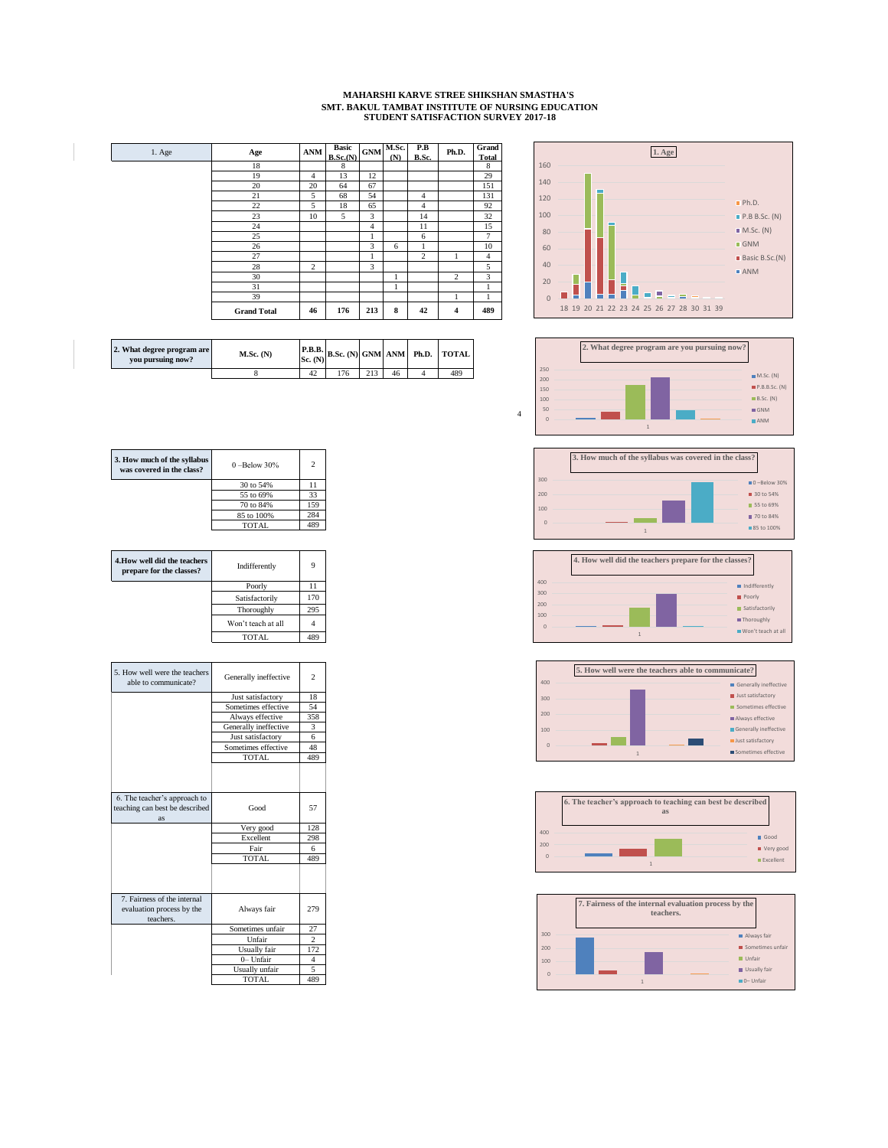## **MAHARSHI KARVE STREE SHIKSHAN SMASTHA'S SMT. BAKUL TAMBAT INSTITUTE OF NURSING EDUCATION STUDENT SATISFACTION SURVEY 2017-18**

| 1. Age | Age                | <b>ANM</b>     | <b>Basic</b><br>B.Sc.(N) | <b>GNM</b>     | M.Sc.<br>(N) | P.B<br>B.Sc.   | Ph.D.                   | Grand<br>Total |
|--------|--------------------|----------------|--------------------------|----------------|--------------|----------------|-------------------------|----------------|
|        | 18                 |                | 8                        |                |              |                |                         | 8              |
|        | 19                 | $\overline{4}$ | 13                       | 12             |              |                |                         | 29             |
|        | 20                 | 20             | 64                       | 67             |              |                |                         | 151            |
|        | 21                 | 5              | 68                       | 54             |              | $\overline{4}$ |                         | 131            |
|        | 22                 | 5              | 18                       | 65             |              | $\overline{4}$ |                         | 92             |
|        | 23                 | 10             | 5                        | 3              |              | 14             |                         | 32             |
|        | 24                 |                |                          | $\overline{4}$ |              | 11             |                         | 15             |
|        | 25                 |                |                          | 1              |              | 6              |                         | $\overline{7}$ |
|        | 26                 |                |                          | 3              | 6            |                |                         | 10             |
|        | 27                 |                |                          | 1              |              | $\overline{c}$ | 1                       | $\overline{4}$ |
|        | 28                 | $\overline{c}$ |                          | 3              |              |                |                         | 5              |
|        | 30                 |                |                          |                |              |                | $\overline{c}$          | 3              |
|        | 31                 |                |                          |                | 1            |                |                         |                |
|        | 39                 |                |                          |                |              |                | 1                       | 1              |
|        | <b>Grand Total</b> | 46             | 176                      | 213            | 8            | 42             | $\overline{\mathbf{4}}$ | 489            |



| 2. What degree program are<br>you pursuing now? | $M.Sc.$ (N) | Sc. (N) |     |     |    | $\left[\frac{\text{P.B.B.}}{\text{N}}\right]$ B.Sc. (N) GNM ANM Ph.D. TOTAL |
|-------------------------------------------------|-------------|---------|-----|-----|----|-----------------------------------------------------------------------------|
|                                                 |             | 42      | .76 | 212 | 46 | 489                                                                         |













| 3. How much of the syllabus<br>was covered in the class? | $0 -$ Below 30% | C   |
|----------------------------------------------------------|-----------------|-----|
|                                                          | 30 to 54%       | 11  |
|                                                          | 55 to 69%       | 33  |
|                                                          | 70 to 84%       | 159 |
|                                                          | 85 to 100%      | 284 |
|                                                          | TOTAL.          |     |

| 4. How well did the teachers<br>prepare for the classes? | Indifferently      | Q   |
|----------------------------------------------------------|--------------------|-----|
|                                                          | Poorly             |     |
|                                                          | Satisfactorily     | 170 |
|                                                          | Thoroughly         | 295 |
|                                                          | Won't teach at all |     |
|                                                          | TOTAL.             |     |

| 5. How well were the teachers<br>able to communicate? | Generally ineffective | $\overline{\mathbf{c}}$ |
|-------------------------------------------------------|-----------------------|-------------------------|
|                                                       | Just satisfactory     | 18                      |
|                                                       | Sometimes effective   | 54                      |
|                                                       | Always effective      | 358                     |
|                                                       | Generally ineffective | 3                       |
|                                                       | Just satisfactory     | 6                       |
|                                                       | Sometimes effective   | 48                      |
|                                                       | TOTAL                 | 489                     |
|                                                       |                       |                         |
| 6. The teacher's approach to                          |                       |                         |
| teaching can best be described                        | Good                  | 57                      |
| as                                                    |                       |                         |
|                                                       | Very good             | 128                     |
|                                                       | Excellent             | 298                     |
|                                                       | Fair                  | 6                       |
|                                                       | <b>TOTAL</b>          | 489                     |
|                                                       |                       |                         |
| 7. Fairness of the internal                           |                       |                         |
| evaluation process by the                             | Always fair           | 279                     |
| teachers.                                             |                       |                         |
|                                                       | Sometimes unfair      | 27                      |
|                                                       | Unfair                | $\overline{c}$          |
|                                                       | Usually fair          | 172                     |
|                                                       | 0- Unfair             | 4                       |
|                                                       | Usually unfair        | 5                       |
|                                                       | TOTAL                 | 489                     |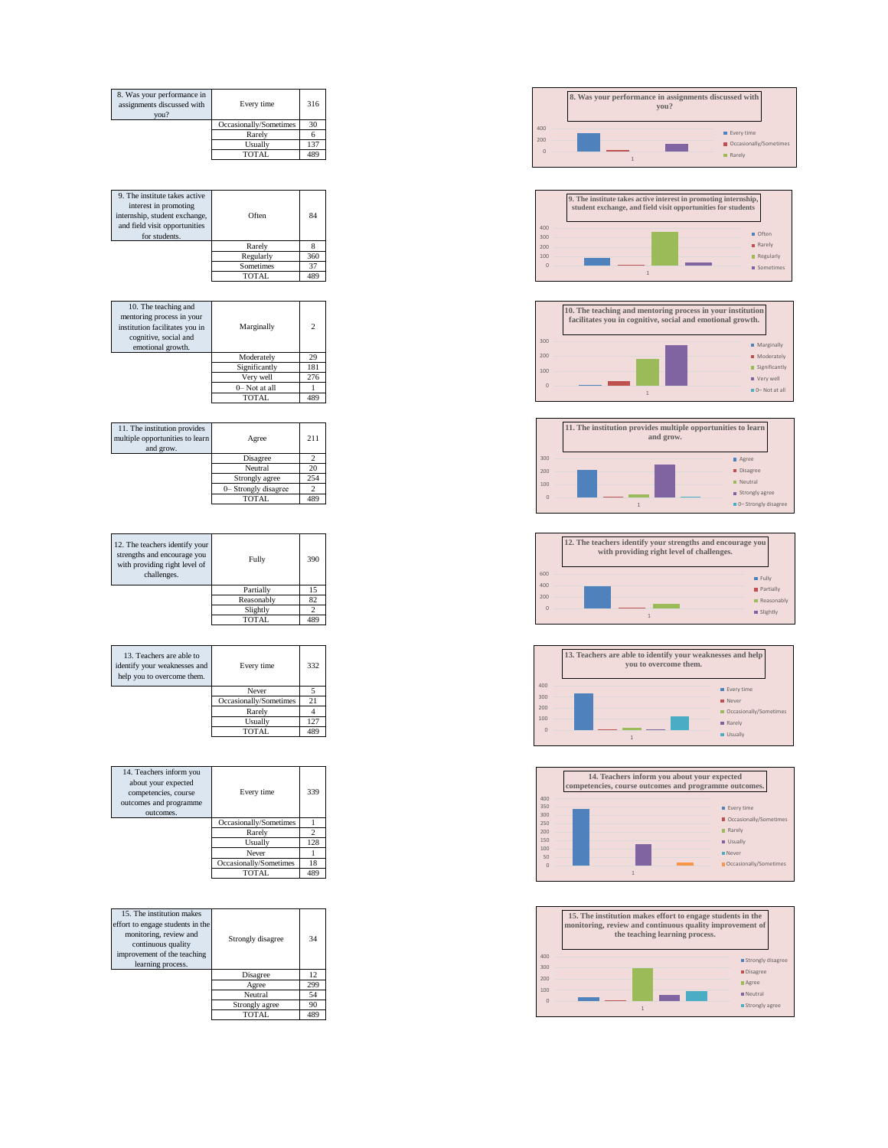















| 8. Was your performance in<br>assignments discussed with<br>vou? | Every time             | 316 |
|------------------------------------------------------------------|------------------------|-----|
|                                                                  | Occasionally/Sometimes | 30  |
|                                                                  | Rarely                 |     |
|                                                                  | Usually                | 137 |
|                                                                  | TOTAL                  | 489 |

| 9. The institute takes active<br>interest in promoting<br>internship, student exchange,<br>and field visit opportunities | Often        | 84  |
|--------------------------------------------------------------------------------------------------------------------------|--------------|-----|
| for students.                                                                                                            |              |     |
|                                                                                                                          | Rarely       |     |
|                                                                                                                          | Regularly    | 360 |
|                                                                                                                          | Sometimes    | 37  |
|                                                                                                                          | <b>TOTAL</b> | 489 |
|                                                                                                                          |              |     |

| 10. The teaching and<br>mentoring process in your<br>institution facilitates you in<br>cognitive, social and<br>emotional growth. | Marginally    | $\mathcal{P}$ |
|-----------------------------------------------------------------------------------------------------------------------------------|---------------|---------------|
|                                                                                                                                   | Moderately    | 29            |
|                                                                                                                                   | Significantly | 181           |
|                                                                                                                                   | Verv well     | 276           |
|                                                                                                                                   | 0-Not at all  |               |
|                                                                                                                                   | TOTAL         | 489           |

| 11. The institution provides<br>multiple opportunities to learn<br>and grow. | Agree                | 211             |
|------------------------------------------------------------------------------|----------------------|-----------------|
|                                                                              | Disagree             |                 |
|                                                                              | Neutral              | 20              |
|                                                                              | Strongly agree       | 254             |
|                                                                              | 0- Strongly disagree |                 |
|                                                                              | <b>TOTAL</b>         | 48 <sup>′</sup> |

| 12. The teachers identify your<br>strengths and encourage you<br>with providing right level of<br>challenges. | Fully      | 390 |
|---------------------------------------------------------------------------------------------------------------|------------|-----|
|                                                                                                               | Partially  |     |
|                                                                                                               | Reasonably | 82  |
|                                                                                                               | Slightly   |     |
|                                                                                                               | TOTAL      |     |

| 13. Teachers are able to<br>identify your weaknesses and<br>help you to overcome them. | Every time             | 332 |
|----------------------------------------------------------------------------------------|------------------------|-----|
|                                                                                        | Never                  |     |
|                                                                                        | Occasionally/Sometimes | 21  |
|                                                                                        | Rarely                 |     |
|                                                                                        | Usually                | 27  |
|                                                                                        | TOTAL                  |     |

| 14. Teachers inform you<br>about your expected<br>competencies, course<br>outcomes and programme<br>outcomes. | Every time             | 339 |
|---------------------------------------------------------------------------------------------------------------|------------------------|-----|
|                                                                                                               | Occasionally/Sometimes |     |
|                                                                                                               | Rarely                 |     |
|                                                                                                               | Usually                | 128 |
|                                                                                                               | Never                  |     |
|                                                                                                               | Occasionally/Sometimes | 18  |
|                                                                                                               | TOTAL.                 | 489 |

| 15. The institution makes<br>effort to engage students in the<br>monitoring, review and | Strongly disagree | 34  |
|-----------------------------------------------------------------------------------------|-------------------|-----|
| continuous quality<br>improvement of the teaching<br>learning process.                  |                   |     |
|                                                                                         | Disagree          | 12  |
|                                                                                         | Agree             | 299 |
|                                                                                         | Neutral           | 54  |
|                                                                                         | Strongly agree    | 90  |
|                                                                                         | TOTAL.            | 489 |